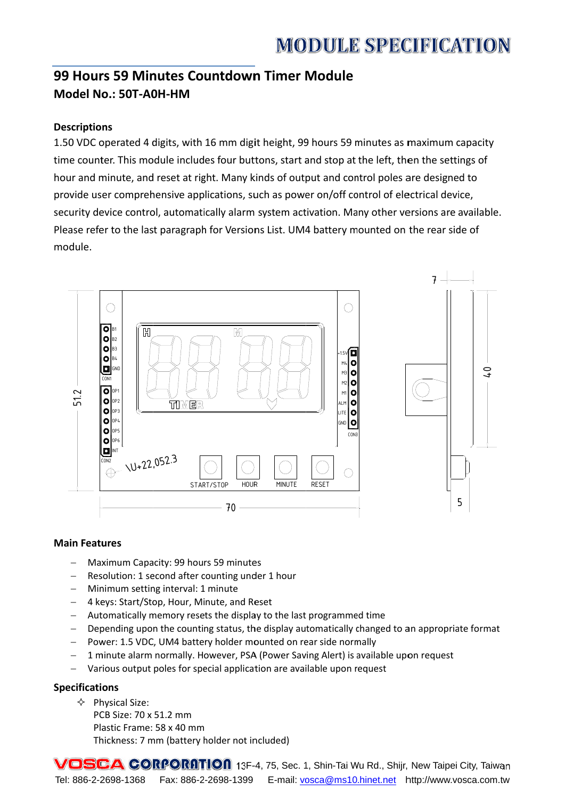# **MODULE SPECIFICATION**

# 99 Hours 59 Minutes Countdown Timer Module Model No.: 50T-A0H-HM

## **Descriptions**

1.50 VDC operated 4 digits, with 16 mm digit height, 99 hours 59 minutes as maximum capacity time counter. This module includes four buttons, start and stop at the left, then the settings of hour and minute, and reset at right. Many kinds of output and control poles are designed to provide user comprehensive applications, such as power on/off control of electrical device, security device control, automatically alarm system activation. Many other versions are available. Please refer to the last paragraph for Versions List. UM4 battery mounted on the rear side of module.



#### **Main Features**

- Maximum Capacity: 99 hours 59 minutes  $\equiv$
- Resolution: 1 second after counting under 1 hour
- Minimum setting interval: 1 minute
- 4 keys: Start/Stop, Hour, Minute, and Reset
- Automatically memory resets the display to the last programmed time
- Depending upon the counting status, the display automatically changed to an appropriate format
- Power: 1.5 VDC, UM4 battery holder mounted on rear side normally
- 1 minute alarm normally. However, PSA (Power Saving Alert) is available upon request  $\equiv$
- Various output poles for special application are available upon request

#### **Specifications**

- $\Diamond$  Physical Size:
	- PCB Size: 70 x 51.2 mm Plastic Frame: 58 x 40 mm Thickness: 7 mm (battery holder not included)

VOSCA CORPORATION 13F-4, 75, Sec. 1, Shin-Tai Wu Rd., Shijr, New Taipei City, Taiwan Tel: 886-2-2698-1368 Fax: 886-2-2698-1399 E-mail: vosca@ms10.hinet.net http://www.vosca.com.tw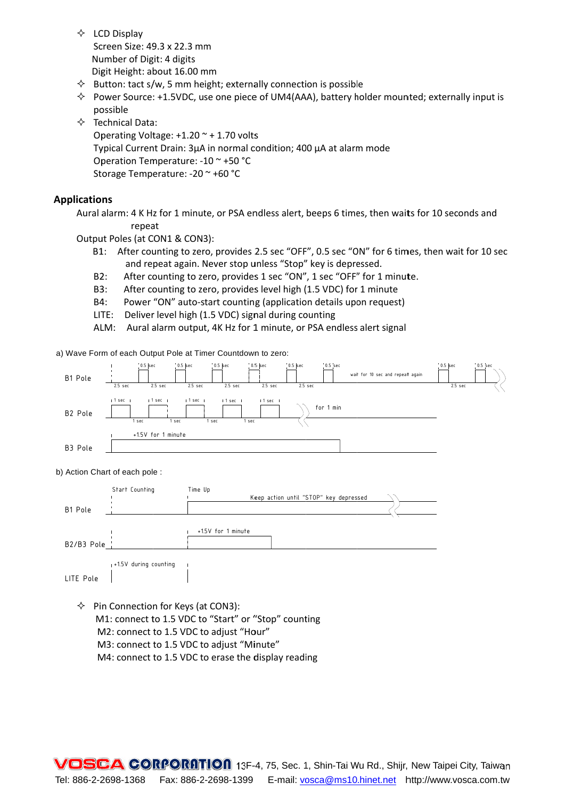- $\Leftrightarrow$  LCD Display Screen Size: 49.3 x 22.3 mm Number of Digit: 4 digits Digit Height: about 16.00 mm
- $\diamond$  Button: tact s/w, 5 mm height; externally connection is possible
- $\lozenge$  Power Source: +1.5VDC, use one piece of UM4(AAA), battery holder mounted; externally input is possible
- $\Diamond$  Technical Data:

Operating Voltage:  $+1.20$   $\sim$  + 1.70 volts Typical Current Drain: 3µA in normal condition; 400 µA at alarm mode Operation Temperature: -10 ~ +50 °C Storage Temperature: -20 ~ +60 °C

#### **Applications**

Aural alarm: 4 K Hz for 1 minute, or PSA endless alert, beeps 6 times, then waits for 10 seconds and repeat

Output Poles (at CON1 & CON3):

- B1: After counting to zero, provides 2.5 sec "OFF", 0.5 sec "ON" for 6 times, then wait for 10 sec and repeat again. Never stop unless "Stop" key is depressed.
- After counting to zero, provides 1 sec "ON", 1 sec "OFF" for 1 minute.  $B2:$
- B3: After counting to zero, provides level high (1.5 VDC) for 1 minute
- Power "ON" auto-start counting (application details upon request) B4:
- LITE: Deliver level high (1.5 VDC) signal during counting
- ALM: Aural alarm output, 4K Hz for 1 minute, or PSA endless alert signal

a) Wave Form of each Output Pole at Timer Countdown to zero:



#### b) Action Chart of each pole:

|                          | Start Counting         | Time Up                                |  |
|--------------------------|------------------------|----------------------------------------|--|
|                          |                        | Keep action until "STOP" key depressed |  |
| B1 Pole                  |                        |                                        |  |
|                          |                        |                                        |  |
|                          |                        | +1.5V for 1 minute                     |  |
| B2/B3 Pole $\frac{1}{1}$ |                        |                                        |  |
|                          |                        |                                        |  |
|                          | 1+1.5V during counting |                                        |  |
| LITE Pole                |                        |                                        |  |

- $\diamond$  Pin Connection for Keys (at CON3): M1: connect to 1.5 VDC to "Start" or "Stop" counting M2: connect to 1.5 VDC to adjust "Hour" M3: connect to 1.5 VDC to adjust "Minute"
	- M4: connect to 1.5 VDC to erase the display reading